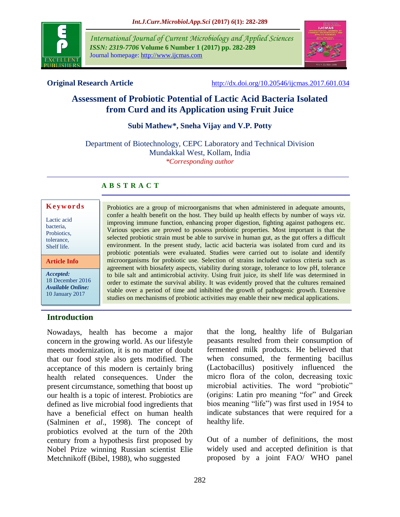

*International Journal of Current Microbiology and Applied Sciences ISSN: 2319-7706* **Volume 6 Number 1 (2017) pp. 282-289** Journal homepage: http://www.ijcmas.com



**Original Research Article** <http://dx.doi.org/10.20546/ijcmas.2017.601.034>

# **Assessment of Probiotic Potential of Lactic Acid Bacteria Isolated from Curd and its Application using Fruit Juice**

**Subi Mathew\*, Sneha Vijay and V.P. Potty**

Department of Biotechnology, CEPC Laboratory and Technical Division Mundakkal West, Kollam, India *\*Corresponding author*

# **A B S T R A C T**

#### **K e y w o r d s**

Lactic acid bacteria, Probiotics, tolerance, Shelf life.

**Article Info**

*Accepted:*  18 December 2016 *Available Online:* 10 January 2017

Probiotics are a group of microorganisms that when administered in adequate amounts, confer a health benefit on the host. They build up health effects by number of ways *viz.* improving immune function, enhancing proper digestion, fighting against pathogens etc. Various species are proved to possess probiotic properties. Most important is that the selected probiotic strain must be able to survive in human gut, as the gut offers a difficult environment. In the present study, lactic acid bacteria was isolated from curd and its probiotic potentials were evaluated. Studies were carried out to isolate and identify microorganisms for probiotic use. Selection of strains included various criteria such as agreement with biosafety aspects, viability during storage, tolerance to low pH, tolerance to bile salt and antimicrobial activity. Using fruit juice, its shelf life was determined in order to estimate the survival ability. It was evidently proved that the cultures remained viable over a period of time and inhibited the growth of pathogenic growth. Extensive studies on mechanisms of probiotic activities may enable their new medical applications.

# **Introduction**

Nowadays, health has become a major concern in the growing world. As our lifestyle meets modernization, it is no matter of doubt that our food style also gets modified. The acceptance of this modern is certainly bring health related consequences. Under the present circumstance, something that boost up our health is a topic of interest. Probiotics are defined as live microbial food ingredients that have a beneficial effect on human health (Salminen *et al*., 1998). The concept of probiotics evolved at the turn of the 20th century from a hypothesis first proposed by Nobel Prize winning Russian scientist Elie Metchnikoff (Bibel, 1988), who suggested

that the long, healthy life of Bulgarian peasants resulted from their consumption of fermented milk products. He believed that when consumed, the fermenting bacillus (Lactobacillus) positively influenced the micro flora of the colon, decreasing toxic microbial activities. The word "probiotic" (origins: Latin pro meaning "for" and Greek bios meaning "life") was first used in 1954 to indicate substances that were required for a healthy life.

Out of a number of definitions, the most widely used and accepted definition is that proposed by a joint FAO/ WHO panel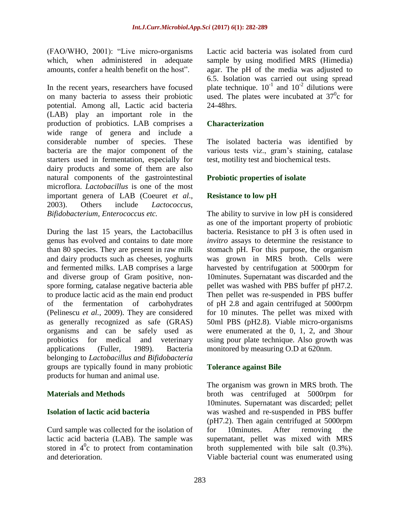(FAO/WHO, 2001): "Live micro-organisms which, when administered in adequate amounts, confer a health benefit on the host".

In the recent years, researchers have focused on many bacteria to assess their probiotic potential. Among all, Lactic acid bacteria (LAB) play an important role in the production of probiotics. LAB comprises a wide range of genera and include a considerable number of species. These bacteria are the major component of the starters used in fermentation, especially for dairy products and some of them are also natural components of the gastrointestinal microflora. *Lactobacillus* is one of the most important genera of LAB (Coeuret *et al*., 2003). Others include *Lactococcus, Bifidobacterium, Enterococcus etc.*

During the last 15 years, the Lactobacillus genus has evolved and contains to date more than 80 species. They are present in raw milk and dairy products such as cheeses, yoghurts and fermented milks. LAB comprises a large and diverse group of Gram positive, nonspore forming, catalase negative bacteria able to produce lactic acid as the main end product of the fermentation of carbohydrates (Pelinescu *et al.,* 2009). They are considered as generally recognized as safe (GRAS) organisms and can be safely used as probiotics for medical and veterinary applications (Fuller, 1989). Bacteria belonging to *Lactobacillus and Bifidobacteria* groups are typically found in many probiotic products for human and animal use.

# **Materials and Methods**

#### **Isolation of lactic acid bacteria**

Curd sample was collected for the isolation of lactic acid bacteria (LAB). The sample was stored in  $4^0c$  to protect from contamination and deterioration.

Lactic acid bacteria was isolated from curd sample by using modified MRS (Himedia) agar. The pH of the media was adjusted to 6.5. Isolation was carried out using spread plate technique.  $10^{-1}$  and  $10^{-2}$  dilutions were used. The plates were incubated at  $37^\circ$ c for 24-48hrs.

# **Characterization**

The isolated bacteria was identified by various tests viz., gram's staining, catalase test, motility test and biochemical tests.

# **Probiotic properties of isolate**

# **Resistance to low pH**

The ability to survive in low pH is considered as one of the important property of probiotic bacteria. Resistance to pH 3 is often used in *invitro* assays to determine the resistance to stomach pH. For this purpose, the organism was grown in MRS broth. Cells were harvested by centrifugation at 5000rpm for 10minutes. Supernatant was discarded and the pellet was washed with PBS buffer pf pH7.2. Then pellet was re-suspended in PBS buffer of pH 2.8 and again centrifuged at 5000rpm for 10 minutes. The pellet was mixed with 50ml PBS (pH2.8). Viable micro-organisms were enumerated at the 0, 1, 2, and 3hour using pour plate technique. Also growth was monitored by measuring O.D at 620nm.

#### **Tolerance against Bile**

The organism was grown in MRS broth. The broth was centrifuged at 5000rpm for 10minutes. Supernatant was discarded; pellet was washed and re-suspended in PBS buffer (pH7.2). Then again centrifuged at 5000rpm for 10minutes. After removing the supernatant, pellet was mixed with MRS broth supplemented with bile salt (0.3%). Viable bacterial count was enumerated using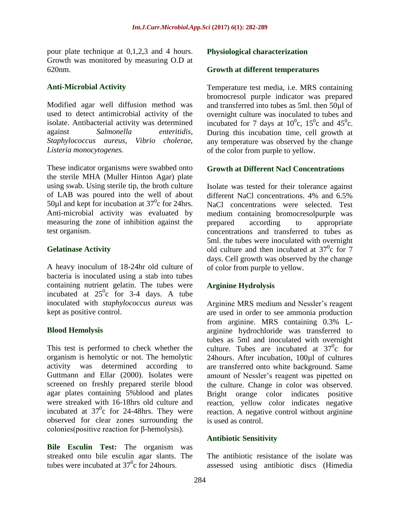pour plate technique at 0,1,2,3 and 4 hours. Growth was monitored by measuring O.D at 620nm.

# **Anti-Microbial Activity**

Modified agar well diffusion method was used to detect antimicrobial activity of the isolate. Antibacterial activity was determined against *Salmonella enteritidis, Staphylococcus aureus, Vibrio cholerae, Listeria monocytogenes.*

These indicator organisms were swabbed onto the sterile MHA (Muller Hinton Agar) plate using swab. Using sterile tip, the broth culture of LAB was poured into the well of about 50 $\mu$ l and kept for incubation at 37<sup>0</sup>c for 24hrs. Anti-microbial activity was evaluated by measuring the zone of inhibition against the test organism.

# **Gelatinase Activity**

A heavy inoculum of 18-24hr old culture of bacteria is inoculated using a stab into tubes containing nutrient gelatin. The tubes were incubated at  $25^\circ$ c for 3-4 days. A tube inoculated with *staphylococcus aureus* was kept as positive control.

# **Blood Hemolysis**

This test is performed to check whether the organism is hemolytic or not. The hemolytic activity was determined according to Guttmann and Ellar (2000). Isolates were screened on freshly prepared sterile blood agar plates containing 5%blood and plates were streaked with 16-18hrs old culture and incubated at  $37^\circ$ c for 24-48hrs. They were observed for clear zones surrounding the colonies(positive reaction for β-hemolysis).

**Bile Esculin Test:** The organism was streaked onto bile esculin agar slants. The tubes were incubated at  $37^{\circ}$ c for 24 hours.

# **Physiological characterization**

#### **Growth at different temperatures**

Temperature test media, i.e. MRS containing bromocresol purple indicator was prepared and transferred into tubes as 5ml. then 50µl of overnight culture was inoculated to tubes and incubated for 7 days at  $10^0$ c,  $15^0$ c and  $45^0$ c. During this incubation time, cell growth at any temperature was observed by the change of the color from purple to yellow.

# **Growth at Different Nacl Concentrations**

Isolate was tested for their tolerance against different NaCl concentrations. 4% and 6.5% NaCl concentrations were selected. Test medium containing bromocresolpurple was prepared according to appropriate concentrations and transferred to tubes as 5ml. the tubes were inoculated with overnight old culture and then incubated at  $37^\circ$ c for 7 days. Cell growth was observed by the change of color from purple to yellow.

# **Arginine Hydrolysis**

Arginine MRS medium and Nessler's reagent are used in order to see ammonia production from arginine. MRS containing 0.3% Larginine hydrochloride was transferred to tubes as 5ml and inoculated with overnight culture. Tubes are incubated at  $37^\circ$ c for 24hours. After incubation, 100µl of cultures are transferred onto white background. Same amount of Nessler's reagent was pipetted on the culture. Change in color was observed. Bright orange color indicates positive reaction, yellow color indicates negative reaction. A negative control without arginine is used as control.

#### **Antibiotic Sensitivity**

The antibiotic resistance of the isolate was assessed using antibiotic discs (Himedia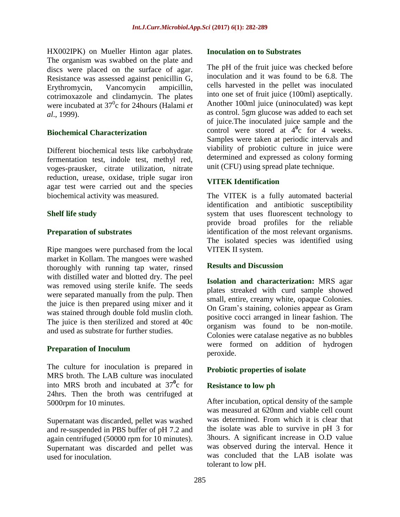HX002IPK) on Mueller Hinton agar plates. The organism was swabbed on the plate and discs were placed on the surface of agar. Resistance was assessed against penicillin G, Erythromycin, Vancomycin ampicillin, cotrimoxazole and clindamycin. The plates were incubated at 37<sup>0</sup>c for 24 hours (Halami *et al*., 1999).

# **Biochemical Characterization**

Different biochemical tests like carbohydrate fermentation test, indole test, methyl red, voges-prausker, citrate utilization, nitrate reduction, urease, oxidase, triple sugar iron agar test were carried out and the species biochemical activity was measured.

# **Shelf life study**

# **Preparation of substrates**

Ripe mangoes were purchased from the local market in Kollam. The mangoes were washed thoroughly with running tap water, rinsed with distilled water and blotted dry. The peel was removed using sterile knife. The seeds were separated manually from the pulp. Then the juice is then prepared using mixer and it was stained through double fold muslin cloth. The juice is then sterilized and stored at 40c and used as substrate for further studies.

#### **Preparation of Inoculum**

The culture for inoculation is prepared in MRS broth. The LAB culture was inoculated into MRS broth and incubated at  $37^\circ$ <sup>o</sup>c for 24hrs. Then the broth was centrifuged at 5000rpm for 10 minutes.

Supernatant was discarded, pellet was washed and re-suspended in PBS buffer of pH 7.2 and again centrifuged (50000 rpm for 10 minutes). Supernatant was discarded and pellet was used for inoculation.

#### **Inoculation on to Substrates**

The pH of the fruit juice was checked before inoculation and it was found to be 6.8. The cells harvested in the pellet was inoculated into one set of fruit juice (100ml) aseptically. Another 100ml juice (uninoculated) was kept as control. 5gm glucose was added to each set of juice.The inoculated juice sample and the control were stored at  $4^{\circ}$ c for 4 weeks. Samples were taken at periodic intervals and viability of probiotic culture in juice were determined and expressed as colony forming unit (CFU) using spread plate technique.

# **VITEK Identification**

The VITEK is a fully automated bacterial identification and antibiotic susceptibility system that uses fluorescent technology to provide broad profiles for the reliable identification of the most relevant organisms. The isolated species was identified using VITEK II system.

#### **Results and Discussion**

**Isolation and characterization:** MRS agar plates streaked with curd sample showed small, entire, creamy white, opaque Colonies. On Gram's staining, colonies appear as Gram positive cocci arranged in linear fashion. The organism was found to be non-motile. Colonies were catalase negative as no bubbles were formed on addition of hydrogen peroxide.

#### **Probiotic properties of isolate**

#### **Resistance to low ph**

After incubation, optical density of the sample was measured at 620nm and viable cell count was determined. From which it is clear that the isolate was able to survive in pH 3 for 3hours. A significant increase in O.D value was observed during the interval. Hence it was concluded that the LAB isolate was tolerant to low pH.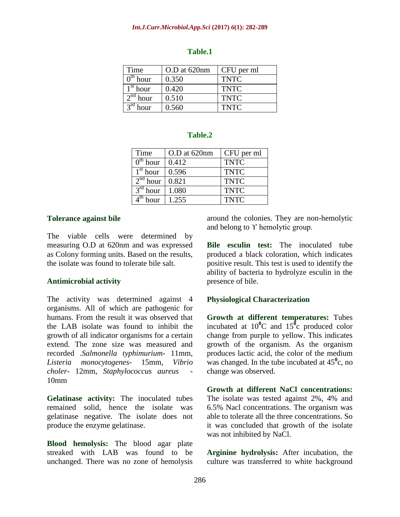#### *Int.J.Curr.Microbiol.App.Sci* **(2017)** *6***(1): 282-289**

| Time       | O.D at 620nm | CFU per ml  |
|------------|--------------|-------------|
| $0th$ hour | 0.350        | <b>TNTC</b> |
| $1st$ hour | 0.420        | <b>TNTC</b> |
| $2nd$ hour | 0.510        | <b>TNTC</b> |
| hour       | 0.560        | <b>TNTC</b> |

#### **Table.1**

#### **Table.2**

| Time                            | O.D at 620nm | CFU per ml  |
|---------------------------------|--------------|-------------|
| $\overline{0}^{\text{th}}$ hour | 0.412        | <b>TNTC</b> |
| $1st$ hour                      | 0.596        | <b>TNTC</b> |
| $2nd$ hour                      | 0.821        | <b>TNTC</b> |
| $3rd$ hour                      | 1.080        | <b>TNTC</b> |
| hour                            | 1.255        | <b>TNTC</b> |

#### **Tolerance against bile**

The viable cells were determined by measuring O.D at 620nm and was expressed as Colony forming units. Based on the results, the isolate was found to tolerate bile salt.

#### **Antimicrobial activity**

The activity was determined against 4 organisms. All of which are pathogenic for humans. From the result it was observed that the LAB isolate was found to inhibit the growth of all indicator organisms for a certain extend. The zone size was measured and recorded .*Salmonella typhimurium*- 11mm, *Listeria monocytogenes*- 15mm, *Vibrio choler*- 12mm, *Staphylococcus aureus* - 10mm

**Gelatinase activity:** The inoculated tubes remained solid, hence the isolate was gelatinase negative. The isolate does not produce the enzyme gelatinase.

**Blood hemolysis:** The blood agar plate streaked with LAB was found to be unchanged. There was no zone of hemolysis

around the colonies. They are non-hemolytic and belong to ϒ hemolytic group.

**Bile esculin test:** The inoculated tube produced a black coloration, which indicates positive result. This test is used to identify the ability of bacteria to hydrolyze esculin in the presence of bile.

#### **Physiological Characterization**

**Growth at different temperatures:** Tubes incubated at  $10^{10}$ C and  $15^{10}$ c produced color change from purple to yellow. This indicates growth of the organism. As the organism produces lactic acid, the color of the medium was changed. In the tube incubated at 45**<sup>0</sup>** c, no change was observed.

**Growth at different NaCl concentrations:**  The isolate was tested against 2%, 4% and 6.5% Nacl concentrations. The organism was able to tolerate all the three concentrations. So it was concluded that growth of the isolate was not inhibited by NaCl.

**Arginine hydrolysis:** After incubation, the culture was transferred to white background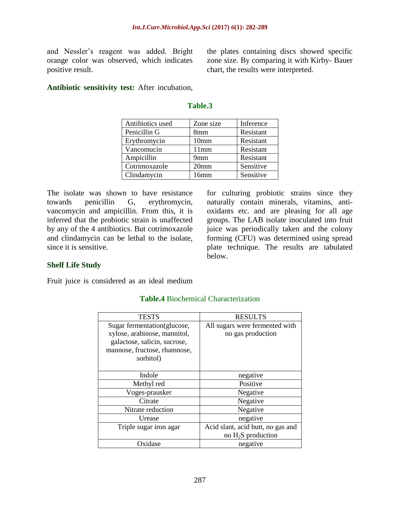and Nessler's reagent was added. Bright orange color was observed, which indicates positive result.

the plates containing discs showed specific zone size. By comparing it with Kirby- Bauer chart, the results were interpreted.

**Antibiotic sensitivity test:** After incubation,

| Antibiotics used | Zone size        | Inference |
|------------------|------------------|-----------|
| Penicillin G     | 8mm              | Resistant |
| Erythromycin     | 10 <sub>mm</sub> | Resistant |
| Vancomucin       | 11mm             | Resistant |
| Ampicillin       | 9mm              | Resistant |
| Cotrimoxazole    | 20 <sub>mm</sub> | Sensitive |
| Clindamycin      | 16mm             | Sensitive |

**Table.3**

# The isolate was shown to have resistance towards penicillin G, erythromycin, vancomycin and ampicillin. From this, it is inferred that the probiotic strain is unaffected by any of the 4 antibiotics. But cotrimoxazole and clindamycin can be lethal to the isolate, since it is sensitive.

for culturing probiotic strains since they naturally contain minerals, vitamins, antioxidants etc. and are pleasing for all age groups. The LAB isolate inoculated into fruit juice was periodically taken and the colony forming (CFU) was determined using spread plate technique. The results are tabulated below.

# **Shelf Life Study**

Fruit juice is considered as an ideal medium

| <b>TESTS</b>                 | <b>RESULTS</b>                    |
|------------------------------|-----------------------------------|
| Sugar fermentation (glucose, | All sugars were fermented with    |
| xylose, arabinose, mannitol, | no gas production                 |
| galactose, salicin, sucrose, |                                   |
| mannose, fructose, rhamnose, |                                   |
| sorbitol)                    |                                   |
|                              |                                   |
| Indole                       | negative                          |
| Methyl red                   | Positive                          |
| Voges-prausker               | Negative                          |
| Citrate                      | Negative                          |
| Nitrate reduction            | Negative                          |
| Urease                       | negative                          |
| Triple sugar iron agar       | Acid slant, acid butt, no gas and |
|                              | no $H_2S$ production              |
| Oxidase                      | negative                          |

#### **Table.4** Biochemical Characterization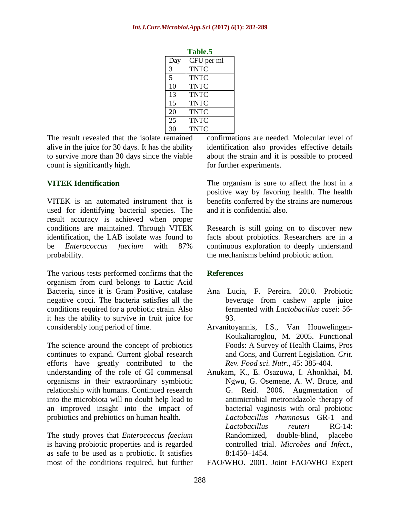| 1 avic.J |             |  |
|----------|-------------|--|
| Day      | CFU per ml  |  |
| 3        | <b>TNTC</b> |  |
| 5        | <b>TNTC</b> |  |
| 10       | <b>TNTC</b> |  |
| 13       | <b>TNTC</b> |  |
| 15       | <b>TNTC</b> |  |
| 20       | <b>TNTC</b> |  |
| 25       | <b>TNTC</b> |  |
| 30       | <b>TNTC</b> |  |

**Table.5**

The result revealed that the isolate remained alive in the juice for 30 days. It has the ability to survive more than 30 days since the viable count is significantly high.

# **VITEK Identification**

VITEK is an automated instrument that is used for identifying bacterial species. The result accuracy is achieved when proper conditions are maintained. Through VITEK identification, the LAB isolate was found to be *Enterococcus faecium* with 87% probability.

The various tests performed confirms that the organism from curd belongs to Lactic Acid Bacteria, since it is Gram Positive, catalase negative cocci. The bacteria satisfies all the conditions required for a probiotic strain. Also it has the ability to survive in fruit juice for considerably long period of time.

The science around the concept of probiotics continues to expand. Current global research efforts have greatly contributed to the understanding of the role of GI commensal organisms in their extraordinary symbiotic relationship with humans. Continued research into the microbiota will no doubt help lead to an improved insight into the impact of probiotics and prebiotics on human health.

The study proves that *Enterococcus faecium* is having probiotic properties and is regarded as safe to be used as a probiotic. It satisfies most of the conditions required, but further confirmations are needed. Molecular level of identification also provides effective details about the strain and it is possible to proceed for further experiments.

The organism is sure to affect the host in a positive way by favoring health. The health benefits conferred by the strains are numerous and it is confidential also.

Research is still going on to discover new facts about probiotics. Researchers are in a continuous exploration to deeply understand the mechanisms behind probiotic action.

#### **References**

- Ana Lucia, F. Pereira. 2010. Probiotic beverage from cashew apple juice fermented with *Lactobacillus casei*: 56- 93.
- Arvanitoyannis, I.S., Van Houwelingen-Koukaliaroglou, M. 2005. Functional Foods: A Survey of Health Claims, Pros and Cons, and Current Legislation. *Crit. Rev. Food sci. Nutr.,* 45: 385-404.
- Anukam, K., E. Osazuwa, I. Ahonkhai, M. Ngwu, G. Osemene, A. W. Bruce, and G. Reid. 2006. Augmentation of antimicrobial metronidazole therapy of bacterial vaginosis with oral probiotic *Lactobacillus rhamnosus* GR-1 and *Lactobacillus reuteri* RC-14: Randomized, double-blind, placebo controlled trial. *Microbes and Infect.,* 8:1450–1454.

FAO/WHO. 2001. Joint FAO/WHO Expert